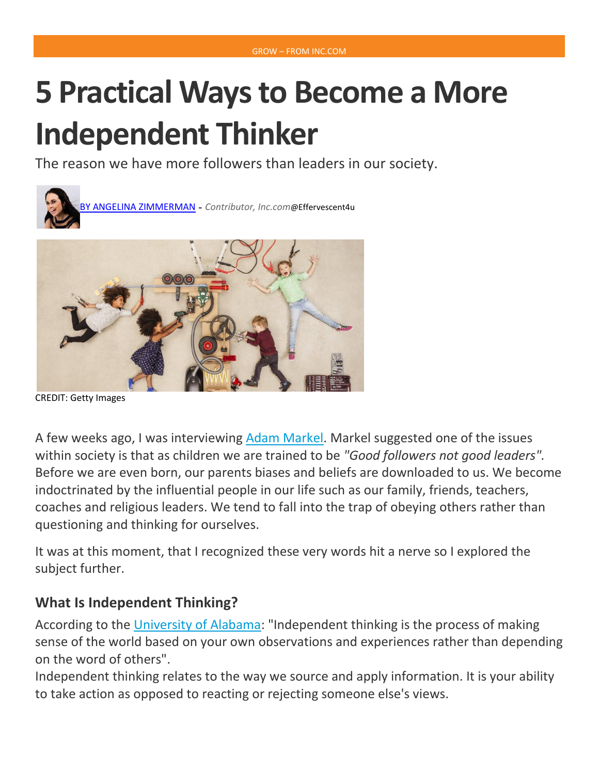# **5 Practical Ways to Become a More Independent Thinker**

The reason we have more followers than leaders in our society.



CREDIT: Getty Images

A few weeks ago, I was interviewing [Adam Markel.](http://adammarkel.com/) Markel suggested one of the issues within society is that as children we are trained to be *"Good followers not good leaders".* Before we are even born, our parents biases and beliefs are downloaded to us. We become indoctrinated by the influential people in our life such as our family, friends, teachers, coaches and religious leaders. We tend to fall into the trap of obeying others rather than questioning and thinking for ourselves.

It was at this moment, that I recognized these very words hit a nerve so I explored the subject further.

#### **What Is Independent Thinking?**

According to the [University of Alabama:](http://www.pal.ua.edu/development/ad_thinking.php) "Independent thinking is the process of making sense of the world based on your own observations and experiences rather than depending on the word of others".

Independent thinking relates to the way we source and apply information. It is your ability to take action as opposed to reacting or rejecting someone else's views.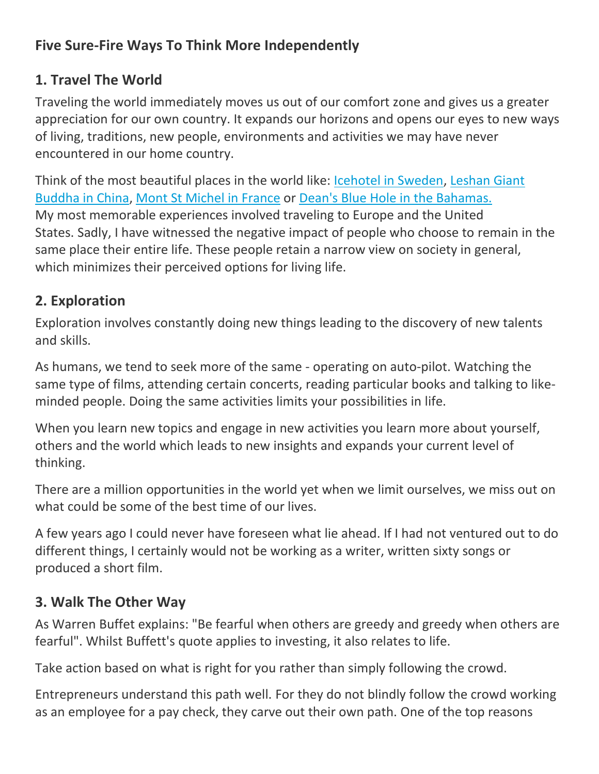#### **Five Sure-Fire Ways To Think More Independently**

#### **1. Travel The World**

Traveling the world immediately moves us out of our comfort zone and gives us a greater appreciation for our own country. It expands our horizons and opens our eyes to new ways of living, traditions, new people, environments and activities we may have never encountered in our home country.

Think of the most beautiful places in the world like: Icehotel in [Sweden,](http://www.escapehere.com/inspiration/worlds-10-most-unique-tourist-destinations/5/) [Leshan Giant](http://www.escapehere.com/inspiration/worlds-10-most-unique-tourist-destinations/)  [Buddha in China,](http://www.escapehere.com/inspiration/worlds-10-most-unique-tourist-destinations/) [Mont St Michel in France](http://www.escapehere.com/inspiration/worlds-10-most-unique-tourist-destinations/4/) or [Dean's Blue Hole in the Bahamas.](http://www.escapehere.com/inspiration/worlds-10-most-unique-tourist-destinations/6/) My most memorable experiences involved traveling to Europe and the United States. Sadly, I have witnessed the negative impact of people who choose to remain in the same place their entire life. These people retain a narrow view on society in general, which minimizes their perceived options for living life.

#### **2. Exploration**

Exploration involves constantly doing new things leading to the discovery of new talents and skills.

As humans, we tend to seek more of the same - operating on auto-pilot. Watching the same type of films, attending certain concerts, reading particular books and talking to likeminded people. Doing the same activities limits your possibilities in life.

When you learn new topics and engage in new activities you learn more about yourself, others and the world which leads to new insights and expands your current level of thinking.

There are a million opportunities in the world yet when we limit ourselves, we miss out on what could be some of the best time of our lives.

A few years ago I could never have foreseen what lie ahead. If I had not ventured out to do different things, I certainly would not be working as a writer, written sixty songs or produced a short film.

## **3. Walk The Other Way**

As Warren Buffet explains: "Be fearful when others are greedy and greedy when others are fearful". Whilst Buffett's quote applies to investing, it also relates to life.

Take action based on what is right for you rather than simply following the crowd.

Entrepreneurs understand this path well. For they do not blindly follow the crowd working as an employee for a pay check, they carve out their own path. One of the top reasons